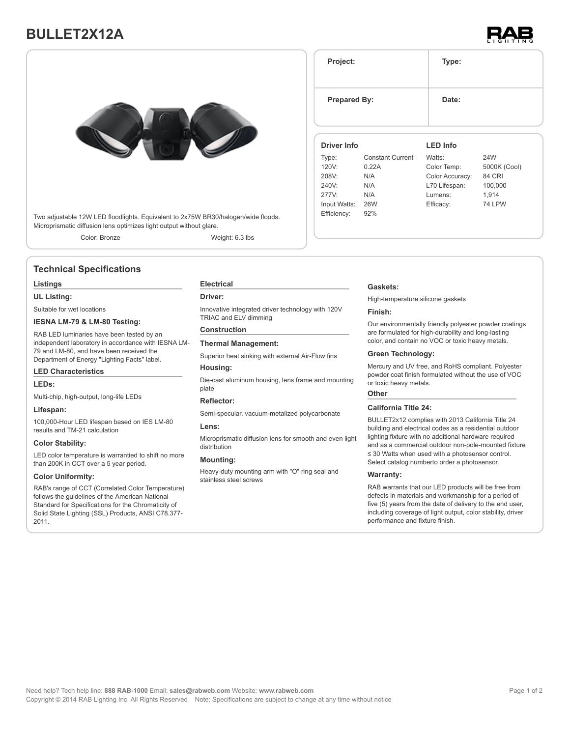# **BULLET2X12A**



Two adjustable 12W LED floodlights. Equivalent to 2x75W BR30/halogen/wide floods. Microprismatic diffusion lens optimizes light output without glare.

Color: Bronze Weight: 6.3 lbs

# **Technical Specifications**

# **Listings**

# **UL Listing:**

Suitable for wet locations

# **IESNA LM-79 & LM-80 Testing:**

RAB LED luminaries have been tested by an independent laboratory in accordance with IESNA LM-79 and LM-80, and have been received the Department of Energy "Lighting Facts" label.

#### **LED Characteristics**

#### **LEDs:**

Multi-chip, high-output, long-life LEDs

#### **Lifespan:**

100,000-Hour LED lifespan based on IES LM-80 results and TM-21 calculation

# **Color Stability:**

LED color temperature is warrantied to shift no more than 200K in CCT over a 5 year period.

# **Color Uniformity:**

RAB's range of CCT (Correlated Color Temperature) follows the guidelines of the American National Standard for Specifications for the Chromaticity of Solid State Lighting (SSL) Products, ANSI C78.377- 2011.

#### **Electrical**

# **Driver:**

Innovative integrated driver technology with 120V TRIAC and ELV dimming

# **Construction**

# **Thermal Management:**

Superior heat sinking with external Air-Flow fins

# **Housing:**

Die-cast aluminum housing, lens frame and mounting plate

# **Reflector:**

Semi-specular, vacuum-metalized polycarbonate

# **Lens:**

Microprismatic diffusion lens for smooth and even light distribution

# **Mounting:**

Heavy-duty mounting arm with "O" ring seal and stainless steel screws

| Project:                |                                         | Type:                                    |                                      |  |
|-------------------------|-----------------------------------------|------------------------------------------|--------------------------------------|--|
|                         | <b>Prepared By:</b>                     | Date:                                    |                                      |  |
| <b>Driver Info</b>      |                                         | <b>LED Info</b>                          |                                      |  |
| Type:<br>120V:<br>208V: | <b>Constant Current</b><br>0.22A<br>N/A | Watts:<br>Color Temp:<br>Color Accuracy: | 24W<br>5000K (Cool)<br><b>84 CRI</b> |  |

# **Gaskets:**

240V: N/A 277V: N/A Input Watts: 26W Efficiency: 92%

High-temperature silicone gaskets

### **Finish:**

Our environmentally friendly polyester powder coatings are formulated for high-durability and long-lasting color, and contain no VOC or toxic heavy metals.

L70 Lifespan: 100,000 Lumens: 1,914 Efficacy: 74 LPW

# **Green Technology:**

Mercury and UV free, and RoHS compliant. Polyester powder coat finish formulated without the use of VOC or toxic heavy metals.

# **Other**

#### **California Title 24:**

BULLET2x12 complies with 2013 California Title 24 building and electrical codes as a residential outdoor lighting fixture with no additional hardware required and as a commercial outdoor non-pole-mounted fixture ≤ 30 Watts when used with a photosensor control. Select catalog numberto order a photosensor.

#### **Warranty:**

RAB warrants that our LED products will be free from defects in materials and workmanship for a period of five (5) years from the date of delivery to the end user, including coverage of light output, color stability, driver performance and fixture finish.